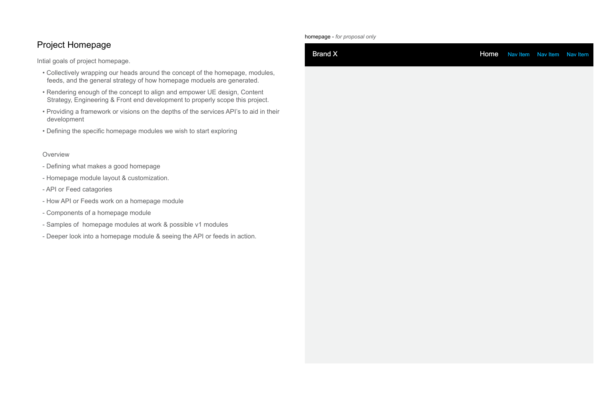# Project Homepage

Intial goals of project homepage.

- Collectively wrapping our heads around the concept of the homepage, modules, feeds, and the general strategy of how homepage moduels are generated.
- Rendering enough of the concept to align and empower UE design, Content Strategy, Engineering & Front end development to properly scope this project.
- Providing a framework or visions on the depths of the services API's to aid in their development
- Defining the specific homepage modules we wish to start exploring

### **Overview**

- Defining what makes a good homepage
- Homepage module layout & customization.
- API or Feed catagories
- How API or Feeds work on a homepage module
- Components of a homepage module
- Samples of homepage modules at work & possible v1 modules
- Deeper look into a homepage module & seeing the API or feeds in action.

homepage - *for proposal only*

## Brand X **Home** Nav Item Nav Item Nav Item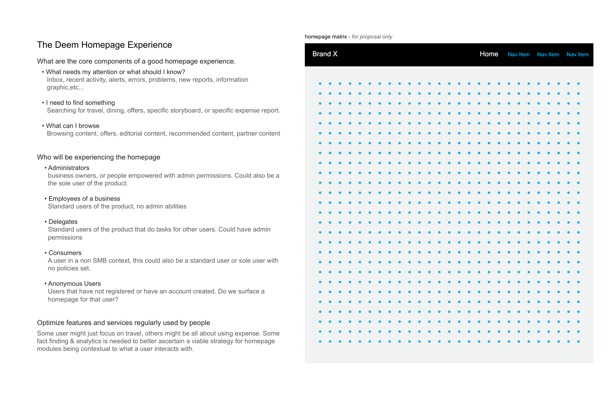# The Deem Homepage Experience

What are the core components of a good homepage experience.

- What needs my attention or what should I know? Inbox, recent activity, alerts, errors, problems, new reports, information graphic,etc...
- I need to find something Searching for travel, dining, offers, specific storyboard, or specific expense report.
- What can I browse Browsing content, offers, editorial content, recommended content, partner content

## Who will be experiencing the homepage

• Administrators

business owners, or people empowered with admin permissions. Could also be a the sole user of the product.

- Employees of a business Standard users of the product, no admin abilities
- Delegates

Standard users of the product that do tasks for other users. Could have admin permissions

• Consumers

A user in a non SMB context, this could also be a standard user or sole user with no policies set.

• Anonymous Users

Users that have not registered or have an account created. Do we surface a homepage for that user?

## Optimize features and services regularly used by people

Some user might just focus on travel, others might be all about using expense. Some fact finding & analytics is needed to better ascertain a viable strategy for homepage modules being contextual to what a user interacts with.

| <b>Brand X</b>         |                        |                        |                        |                        |                        |                        |                        |                        |                        |                                  |           |                        |                                  |           |                        |                                  | <b>Home</b> |                        |                        | Nav Item               |                        |                        | Nav Item               |                        |                        | Nav Item               |
|------------------------|------------------------|------------------------|------------------------|------------------------|------------------------|------------------------|------------------------|------------------------|------------------------|----------------------------------|-----------|------------------------|----------------------------------|-----------|------------------------|----------------------------------|-------------|------------------------|------------------------|------------------------|------------------------|------------------------|------------------------|------------------------|------------------------|------------------------|
|                        |                        |                        |                        |                        |                        |                        |                        |                        |                        |                                  |           |                        |                                  |           |                        |                                  |             |                        |                        |                        |                        |                        |                        |                        |                        |                        |
|                        |                        |                        |                        |                        |                        |                        |                        |                        |                        |                                  |           |                        |                                  |           |                        |                                  |             |                        |                        |                        |                        |                        |                        |                        |                        |                        |
|                        |                        |                        |                        |                        |                        |                        |                        |                        |                        |                                  |           |                        |                                  |           |                        |                                  |             |                        |                        |                        |                        |                        |                        |                        |                        | $\bullet$              |
|                        |                        |                        |                        |                        |                        |                        |                        |                        |                        |                                  |           |                        |                                  |           |                        |                                  |             |                        |                        |                        |                        |                        |                        |                        |                        |                        |
|                        |                        |                        |                        |                        |                        |                        |                        |                        |                        |                                  |           |                        |                                  |           |                        |                                  |             |                        |                        |                        |                        |                        |                        |                        |                        |                        |
|                        |                        |                        |                        |                        |                        |                        |                        |                        |                        |                                  |           |                        |                                  |           |                        |                                  |             |                        |                        |                        |                        |                        |                        |                        |                        | $\bullet$              |
|                        |                        |                        |                        |                        |                        |                        |                        |                        |                        |                                  |           |                        |                                  |           |                        |                                  |             |                        |                        |                        |                        |                        |                        |                        |                        |                        |
|                        |                        |                        |                        |                        |                        |                        |                        |                        |                        |                                  |           |                        |                                  |           |                        |                                  |             |                        |                        |                        |                        |                        |                        |                        |                        |                        |
|                        |                        |                        |                        |                        |                        |                        |                        |                        |                        |                                  |           |                        |                                  |           |                        |                                  |             |                        |                        |                        |                        |                        |                        |                        |                        | $\bullet$              |
|                        |                        |                        |                        |                        |                        |                        |                        |                        |                        |                                  |           |                        |                                  |           |                        |                                  |             |                        |                        |                        |                        |                        |                        |                        |                        |                        |
|                        |                        |                        |                        |                        |                        |                        |                        |                        |                        |                                  |           |                        |                                  |           |                        |                                  |             |                        |                        |                        |                        |                        |                        |                        |                        |                        |
|                        |                        |                        |                        |                        |                        |                        |                        |                        |                        |                                  |           |                        |                                  |           |                        |                                  |             |                        |                        |                        |                        |                        |                        |                        |                        |                        |
|                        |                        |                        |                        |                        |                        |                        |                        |                        |                        |                                  |           |                        |                                  |           |                        |                                  |             |                        |                        |                        |                        |                        |                        |                        |                        |                        |
|                        |                        |                        |                        |                        |                        |                        |                        |                        |                        |                                  |           |                        |                                  |           |                        |                                  |             |                        |                        |                        |                        |                        |                        |                        |                        | $\bullet$              |
|                        |                        |                        |                        |                        |                        |                        |                        |                        |                        |                                  |           |                        |                                  |           |                        |                                  |             |                        |                        |                        |                        |                        |                        |                        |                        |                        |
|                        |                        |                        |                        |                        |                        |                        |                        |                        |                        |                                  |           |                        |                                  |           |                        |                                  |             |                        |                        |                        |                        |                        |                        |                        |                        |                        |
|                        |                        |                        |                        |                        |                        |                        |                        |                        |                        |                                  |           |                        |                                  |           |                        |                                  |             |                        |                        |                        |                        |                        |                        |                        |                        | $\bullet$              |
|                        |                        |                        |                        |                        |                        |                        |                        |                        |                        |                                  |           |                        |                                  |           |                        |                                  |             |                        |                        |                        |                        |                        |                        |                        |                        |                        |
| $\bullet$              | $\bullet$              | $\bullet$              | $\bullet$              | $\bullet$              | $\bullet$              | $\bullet$              | $\bullet$              | $\bullet$              | $\bullet$              | $\bullet$                        | $\bullet$ | $\bullet$              | $\bullet$                        | $\bullet$ | $\bullet$              | $\bullet$                        | $\bullet$   | $\bullet$              | $\bullet$              | $\bullet$              | $\bullet$              | $\bullet$              | $\bullet$              | $\bullet$              | $\bullet$              | $\bullet$              |
| $\bullet$              | $\bullet$              | $\bullet$              | $\bullet$              | $\bullet$              | $\bullet$              | $\bullet$              | $\bullet$              | $\bullet$              | $\bullet$              | $\bullet$ $\bullet$              |           | $\bullet$              | $\bullet$                        | $\bullet$ | $\bullet$              | $\bullet$                        | $\bullet$   | $\bullet$              | $\bullet$              | $\bullet$              | $\bullet$              | $\bullet$              | $\bullet$              | $\bullet$              | $\bullet$              | $\bullet$              |
| $\bullet$              | $\bullet$              | $\bullet$              | $\bullet$              | $\bullet$              | $\bullet$              | $\bullet$              | $\bullet$              | $\bullet$              | $\bullet$              | $\bullet$                        | $\bullet$ | $\bullet$              | $\bullet$                        | $\bullet$ | $\bullet$              | $\bullet$                        | $\bullet$   | $\bullet$              | $\bullet$              | $\bullet$              | $\bullet$              | $\bullet$              | $\bullet$              | $\bullet$              | $\bullet$              | $\bullet$              |
| $\bullet$              | $\bullet$              | $\bullet$              | $\bullet$              | $\bullet$              | $\bullet$              | $\bullet$              | $\bullet$              | $\bullet$              | $\bullet$              | $\bullet\qquad\bullet$           |           | $\bullet$              | $\bullet$ $\bullet$              |           | $\bullet$              | $\bullet$ $\bullet$              |             | $\bullet$              | $\bullet$              | $\bullet$              | $\bullet$              | $\bullet$              | $\bullet$              | $\bullet$              | $\bullet$              | $\bullet$              |
| $\bullet$              | $\bullet$              | $\bullet$              | $\bullet$              | $\bullet$              | $\bullet$              | $\bullet$              | $\bullet$              | $\bullet$              | $\bullet$              | $\bullet$ $\bullet$              |           | $\bullet$              | $\bullet$ $\bullet$              |           | $\bullet$              | $\bullet$ $\bullet$              |             | $\bullet$              | $\bullet$              | $\bullet$              | $\bullet$              | $\bullet$              | $\bullet$              | $\bullet$              | $\bullet$              | $\bullet$              |
| $\bullet$<br>$\bullet$ | $\bullet$<br>$\bullet$ | $\bullet$<br>$\bullet$ | $\bullet$<br>$\bullet$ | $\bullet$<br>$\bullet$ | $\bullet$<br>$\bullet$ | $\bullet$<br>$\bullet$ | $\bullet$<br>$\bullet$ | $\bullet$<br>$\bullet$ | $\bullet$<br>$\bullet$ | $\bullet$<br>$\bullet$ $\bullet$ | $\bullet$ | $\bullet$<br>$\bullet$ | $\bullet$<br>$\bullet$ $\bullet$ | $\bullet$ | $\bullet$<br>$\bullet$ | $\bullet$<br>$\bullet$ $\bullet$ | $\bullet$   | $\bullet$<br>$\bullet$ | $\bullet$<br>$\bullet$ | $\bullet$<br>$\bullet$ | $\bullet$<br>$\bullet$ | $\bullet$<br>$\bullet$ | $\bullet$<br>$\bullet$ | $\bullet$<br>$\bullet$ | $\bullet$<br>$\bullet$ | $\bullet$<br>$\bullet$ |
| $\bullet$              | $\bullet$              | $\bullet$              | $\bullet$              | $\bullet$              | $\bullet$              | $\bullet$              | $\bullet$              | $\bullet$              | $\bullet$              | $\bullet$ $\bullet$              |           | $\bullet$              | $\bullet$ $\bullet$              |           | $\bullet$              | $\bullet$                        | $\bullet$   | $\bullet$              | $\bullet$              | $\bullet$              | $\bullet$              | $\bullet$              | $\bullet$              | $\bullet$              | $\bullet$              | $\bullet$              |
|                        |                        |                        |                        |                        |                        |                        |                        |                        |                        |                                  |           |                        |                                  |           |                        |                                  |             |                        |                        |                        |                        |                        |                        |                        |                        |                        |

homepage matrix - *for proposal only*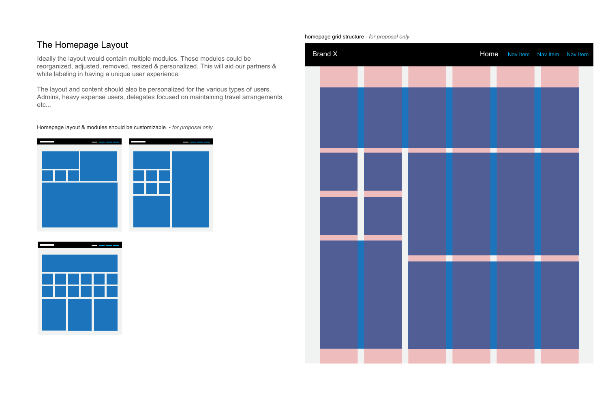# The Homepage Layout

Ideally the layout would contain multiple modules. These modules could be reorganized, adjusted, removed, resized & personalized. This will aid our partners & white labeling in having a unique user experience.

The layout and content should also be personalized for the various types of users. Admins, heavy expense users, delegates focused on maintaining travel arrangements etc...

Homepage layout & modules should be customizable - *for proposal only*







homepage grid structure - *for proposal only*

| Brand X |  | Home | Nav Item Nav Item Nav Item |  |
|---------|--|------|----------------------------|--|
|         |  |      |                            |  |
|         |  |      |                            |  |
|         |  |      |                            |  |
|         |  |      |                            |  |
|         |  |      |                            |  |
|         |  |      |                            |  |
|         |  |      |                            |  |
|         |  |      |                            |  |
|         |  |      |                            |  |
|         |  |      |                            |  |
|         |  |      |                            |  |
|         |  |      |                            |  |
|         |  |      |                            |  |
|         |  |      |                            |  |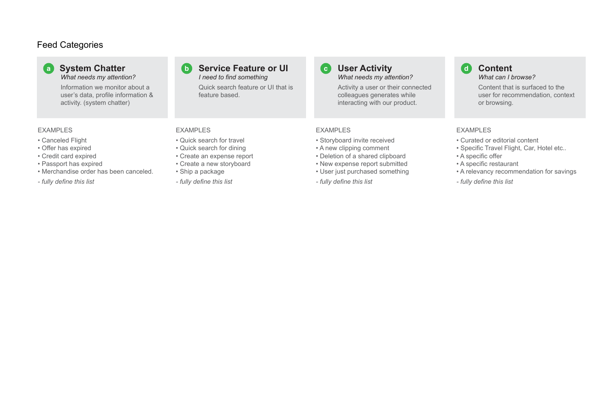# Feed Categories

Brand X

## **System Chatter** *What needs my attention?*

### **a** System Chatter **by Service Feature or UI by C** User Activity *I need to find something*

Information we monitor about a user's data, profile information & activity. (system chatter)

## *What needs my attention?* **c Content Content Content**

Quick search feature or UI that is feature based.

Activity a user or their connected colleagues generates while interacting with our product.



Content that is surfaced to the user for recommendation, context or browsing.

### EXAMPLES

- Canceled Flight
- Offer has expired
- Credit card expired
- Passport has expired
- Merchandise order has been canceled.
- *fully define this list*

### EXAMPLES

- Quick search for travel
- Quick search for dining
- Create an expense report
- Create a new storyboard
- Ship a package
- *fully define this list*

### EXAMPLES

- Storyboard invite received
- A new clipping comment
- Deletion of a shared clipboard
- New expense report submitted
- User just purchased something
- *fully define this list*

## EXAMPLES

- Curated or editorial content
- Specific Travel Flight, Car, Hotel etc..
- A specific offer
- A specific restaurant
- A relevancy recommendation for savings
- *fully define this list*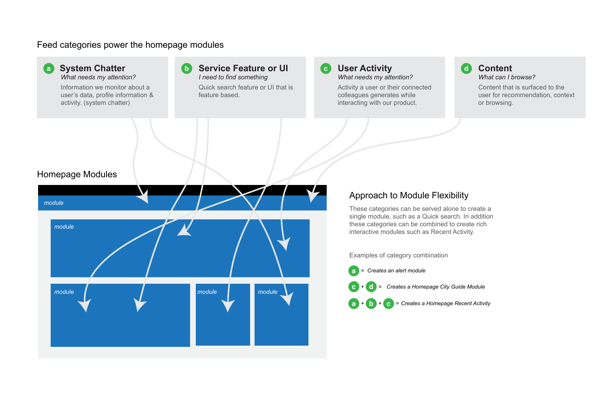## Feed categories power the homepage modules

Brand X



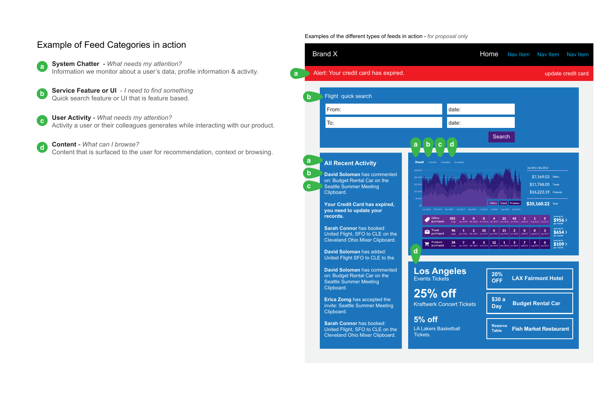Examples of the different types of feeds in action - *for proposal only*

Flight quick search **b** From: To: **a b c d a All Recent Activity b David Soloman** has commented on: Budget Rental Car on the Seattle Summer Meeting **c** Clipboard. **Your Credit Card has expired, you need to update your records. Sarah Connor** has booked: 숩 United Flight, SFO to CLE on the Cleveland Ohio Mixer Clipboard.

> **David Soloman** has added: United Flight SFO to CLE to the



# Example of Feed Categories in action **System Chatter -** *What needs my attention?* Information we monitor about a user's data, profile information & activity. **Service Feature or UI** - *I need to find something* Quick search feature or UI that is feature based. **User Activity -** *What needs my attention?* Activity a user or their colleagues generates while interacting with our product. **Content -** *What can I browse?* Content that is surfaced to the user for recommendation, context or browsing. **a a b c d**

**David Soloman** has commented on: Budget Rental Car on the Seattle Summer Meeting Clipboard.

**Erica Zomg** has accepted the invite: Seattle Summer Meeting Clipboard.

**Sarah Connor** has booked: United Flight, SFO to CLE on the Cleveland Ohio Mixer Clipboard.

**25% off** Kraftwerk Concert Tickets

**5% off** LA Lakers Basketball Tickets.



**d**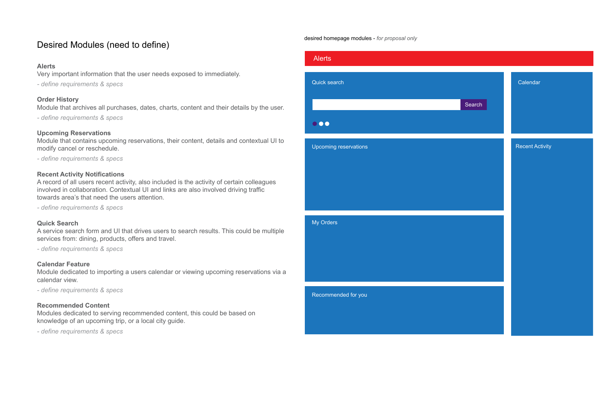# Desired Modules (need to define)

### **Alerts**

Very important information that the user needs exposed to immediately.

*- define requirements & specs*

### **Order History**

Module that archives all purchases, dates, charts, content and their details by the user.

*- define requirements & specs*

### **Upcoming Reservations**

Module that contains upcoming reservations, their content, details and contextual UI to modify cancel or reschedule.

*- define requirements & specs*

### **Recent Activity Notifications**

A record of all users recent activity, also included is the activity of certain colleagues involved in collaboration. Contextual UI and links are also involved driving traffic towards area's that need the users attention.

*- define requirements & specs*

### **Quick Search**

A service search form and UI that drives users to search results. This could be multiple services from: dining, products, offers and travel.

*- define requirements & specs*

### **Calendar Feature**

Module dedicated to importing a users calendar or viewing upcoming reservations via a calendar view.

*- define requirements & specs*

### **Recommended Content**

Modules dedicated to serving recommended content, this could be based on knowledge of an upcoming trip, or a local city guide.

*- define requirements & specs*





### Recent Activity

desired homepage modules - *for proposal only*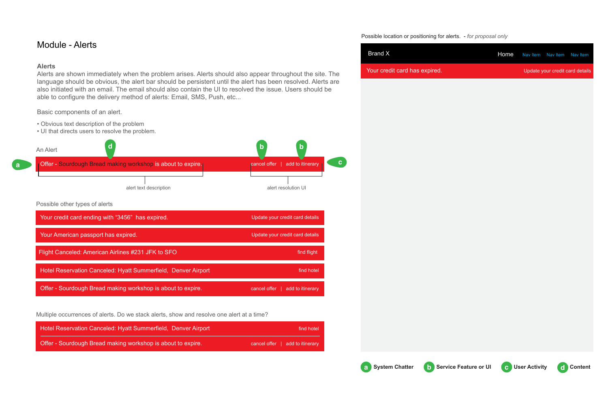### Possible location or positioning for alerts. - *for proposal only*

# Module - Alerts

### **Alerts**

Alerts are shown immediately when the problem arises. Alerts should also appear throughout the site. The language should be obvious, the alert bar should be persistent until the alert has been resolved. Alerts are also initiated with an email. The email should also contain the UI to resolved the issue. Users should be able to configure the delivery method of alerts: Email, SMS, Push, etc...

Basic components of an alert.

- Obvious text description of the problem
- UI that directs users to resolve the problem.

| Brand X                       | Home Naviltem Naviltem Naviltem |                                 |
|-------------------------------|---------------------------------|---------------------------------|
| Your credit card has expired. |                                 | Update your credit card details |







| Hotel Reservation Canceled: Hyatt Summerfield, Denver Airport | find hotel                      |
|---------------------------------------------------------------|---------------------------------|
| Offer - Sourdough Bread making workshop is about to expire.   | cancel offer   add to itinerary |

Multiple occurrences of alerts. Do we stack alerts, show and resolve one alert at a time?